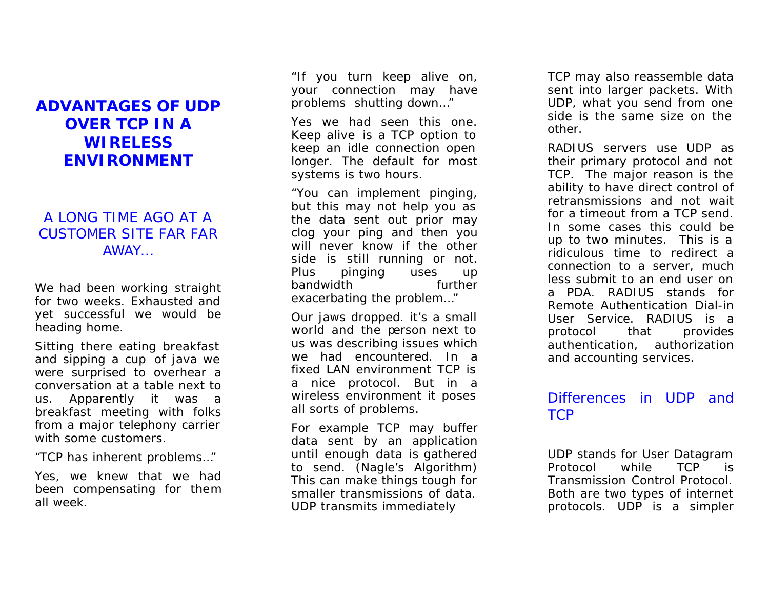## **ADVANTAGES OF UDP OVER TCP IN A WIRELESS ENVIRONMENT**

## A LONG TIME AGO AT A CUSTOMER SITE FAR FAR AWAY…

We had been working straight for two weeks. Exhausted and yet successful we would be heading home.

Sitting there eating breakfast and sipping a cup of java we were surprised to overhear a conversation at a table next to us. Apparently it was a breakfast meeting with folks from a major telephony carrier with some customers.

"*TCP has inherent problems…*"

Yes, we knew that we had been compensating for them all week.

*"If you turn keep alive on, your connection may have problems shutting down…"*

Yes we had seen this one. Keep alive is a TCP option to keep an idle connection open longer. The default for most systems is two hours.

*"You can implement pinging, but this may not help you as the data sent out prior may clog your ping and then you will never know if the other side is still running or not. Plus pinging uses up bandwidth further exacerbating the problem…"*

Our jaws dropped. it's a small world and the person next to us was describing issues which we had encountered. In a fixed LAN environment TCP is a nice protocol. But in a wireless environment it poses all sorts of problems.

For example TCP may buffer data sent by an application until enough data is gathered to send. (Nagle's Algorithm) This can make things tough for smaller transmissions of data. UDP transmits immediately

TCP may also reassemble data sent into larger packets. With UDP, what you send from one side is the same size on the other.

RADIUS servers use UDP as their primary protocol and not TCP. The major reason is the ability to have direct control of retransmissions and not wait for a timeout from a TCP send. In some cases this could be up to two minutes. This is a ridiculous time to redirect a connection to a server, much less submit to an end user on a PDA. RADIUS stands for Remote Authentication Dial-in User Service. RADIUS is a protocol that provides authentication, authorization and accounting services.

## Differences in UDP and TCP

UDP stands for User Datagram Protocol while TCP is Transmission Control Protocol. Both are two types of internet protocols. UDP is a simpler